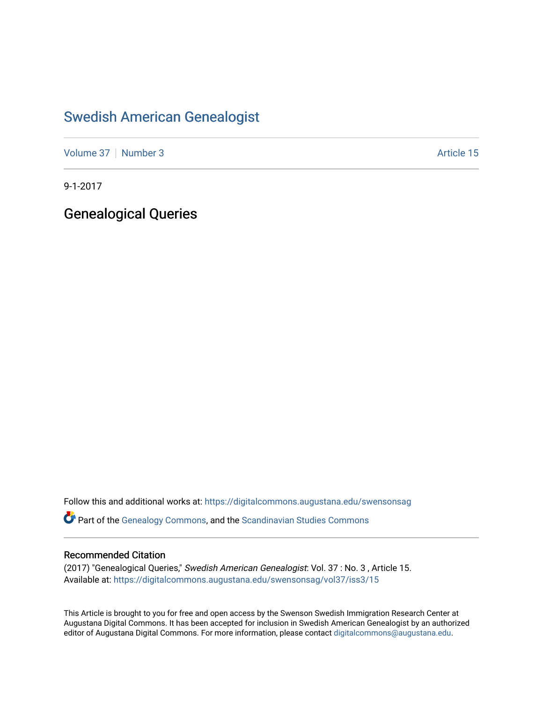### [Swedish American Genealogist](https://digitalcommons.augustana.edu/swensonsag)

[Volume 37](https://digitalcommons.augustana.edu/swensonsag/vol37) | [Number 3](https://digitalcommons.augustana.edu/swensonsag/vol37/iss3) Article 15

9-1-2017

Genealogical Queries

Follow this and additional works at: [https://digitalcommons.augustana.edu/swensonsag](https://digitalcommons.augustana.edu/swensonsag?utm_source=digitalcommons.augustana.edu%2Fswensonsag%2Fvol37%2Fiss3%2F15&utm_medium=PDF&utm_campaign=PDFCoverPages) 

Part of the [Genealogy Commons,](http://network.bepress.com/hgg/discipline/1342?utm_source=digitalcommons.augustana.edu%2Fswensonsag%2Fvol37%2Fiss3%2F15&utm_medium=PDF&utm_campaign=PDFCoverPages) and the [Scandinavian Studies Commons](http://network.bepress.com/hgg/discipline/485?utm_source=digitalcommons.augustana.edu%2Fswensonsag%2Fvol37%2Fiss3%2F15&utm_medium=PDF&utm_campaign=PDFCoverPages)

### Recommended Citation

(2017) "Genealogical Queries," Swedish American Genealogist: Vol. 37 : No. 3 , Article 15. Available at: [https://digitalcommons.augustana.edu/swensonsag/vol37/iss3/15](https://digitalcommons.augustana.edu/swensonsag/vol37/iss3/15?utm_source=digitalcommons.augustana.edu%2Fswensonsag%2Fvol37%2Fiss3%2F15&utm_medium=PDF&utm_campaign=PDFCoverPages) 

This Article is brought to you for free and open access by the Swenson Swedish Immigration Research Center at Augustana Digital Commons. It has been accepted for inclusion in Swedish American Genealogist by an authorized editor of Augustana Digital Commons. For more information, please contact [digitalcommons@augustana.edu.](mailto:digitalcommons@augustana.edu)